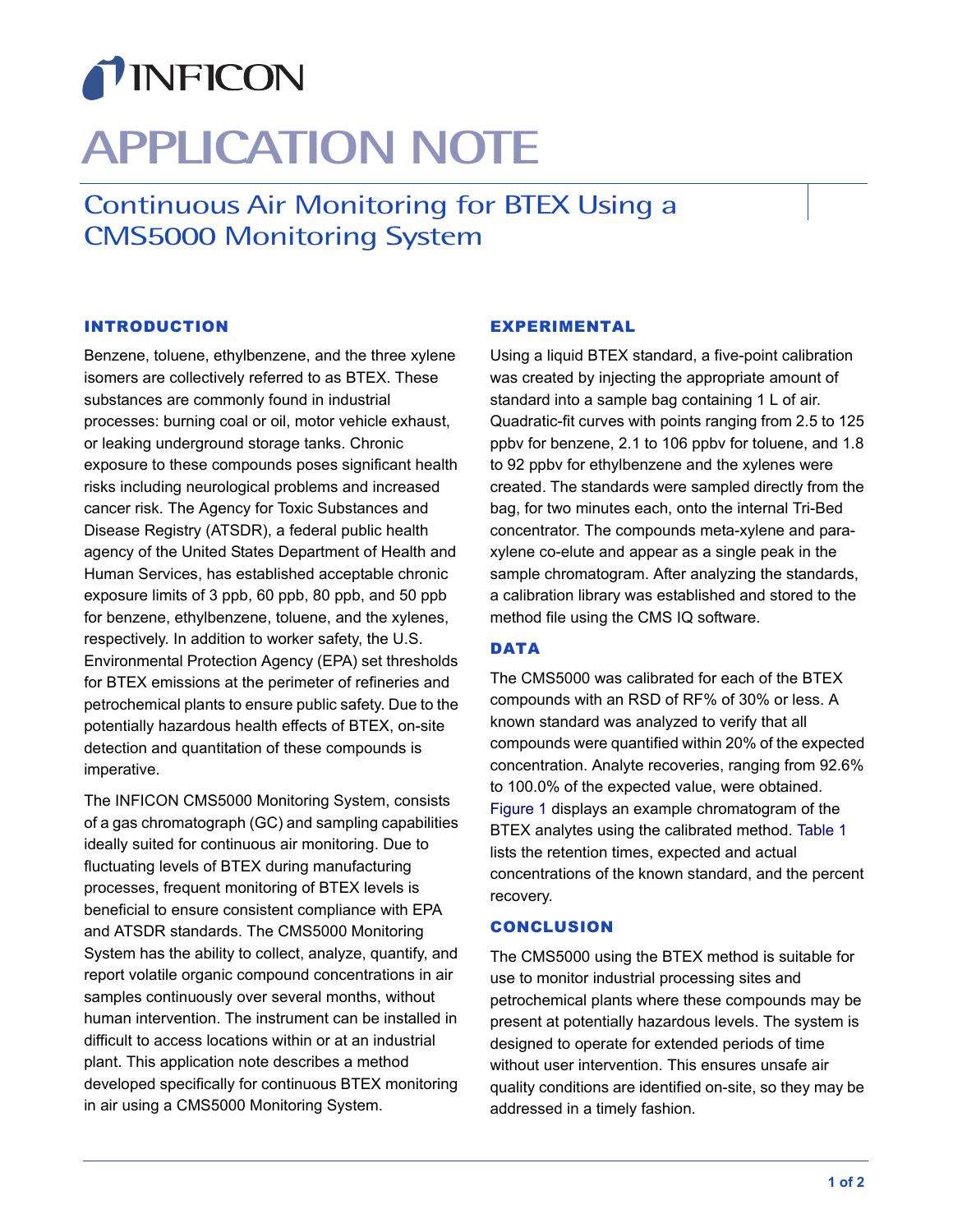# TINFICON

# **APPLICATION NOTE**

<span id="page-0-0"></span>Continuous Air Monitoring for BTEX Using a CMS5000 Monitoring System

### INTRODUCTION

Benzene, toluene, ethylbenzene, and the three xylene isomers are collectively referred to as BTEX. These substances are commonly found in industrial processes: burning coal or oil, motor vehicle exhaust, or leaking underground storage tanks. Chronic exposure to these compounds poses significant health risks including neurological problems and increased cancer risk. The Agency for Toxic Substances and Disease Registry (ATSDR), a federal public health agency of the United States Department of Health and Human Services, has established acceptable chronic exposure limits of 3 ppb, 60 ppb, 80 ppb, and 50 ppb for benzene, ethylbenzene, toluene, and the xylenes, respectively. In addition to worker safety, the U.S. Environmental Protection Agency (EPA) set thresholds for BTEX emissions at the perimeter of refineries and petrochemical plants to ensure public safety. Due to the potentially hazardous health effects of BTEX, on-site detection and quantitation of these compounds is imperative.

The INFICON CMS5000 Monitoring System, consists of a gas chromatograph (GC) and sampling capabilities ideally suited for continuous air monitoring. Due to fluctuating levels of BTEX during manufacturing processes, frequent monitoring of BTEX levels is beneficial to ensure consistent compliance with EPA and ATSDR standards. The CMS5000 Monitoring System has the ability to collect, analyze, quantify, and report volatile organic compound concentrations in air samples continuously over several months, without human intervention. The instrument can be installed in difficult to access locations within or at an industrial plant. This application note describes a method developed specifically for continuous BTEX monitoring in air using a CMS5000 Monitoring System.

#### EXPERIMENTAL

Using a liquid BTEX standard, a five-point calibration was created by injecting the appropriate amount of standard into a sample bag containing 1 L of air. Quadratic-fit curves with points ranging from 2.5 to 125 ppbv for benzene, 2.1 to 106 ppbv for toluene, and 1.8 to 92 ppbv for ethylbenzene and the xylenes were created. The standards were sampled directly from the bag, for two minutes each, onto the internal Tri-Bed concentrator. The compounds meta-xylene and paraxylene co-elute and appear as a single peak in the sample chromatogram. After analyzing the standards, a calibration library was established and stored to the method file using the CMS IQ software.

# **DATA**

The CMS5000 was calibrated for each of the BTEX compounds with an RSD of RF% of 30% or less. A known standard was analyzed to verify that all compounds were quantified within 20% of the expected concentration. Analyte recoveries, ranging from 92.6% to 100.0% of the expected value, were obtained. [Figure 1](#page-1-0) displays an example chromatogram of the BTEX analytes using the calibrated method. [Table 1](#page-1-1) lists the retention times, expected and actual concentrations of the known standard, and the percent recovery.

## **CONCLUSION**

The CMS5000 using the BTEX method is suitable for use to monitor industrial processing sites and petrochemical plants where these compounds may be present at potentially hazardous levels. The system is designed to operate for extended periods of time without user intervention. This ensures unsafe air quality conditions are identified on-site, so they may be addressed in a timely fashion.